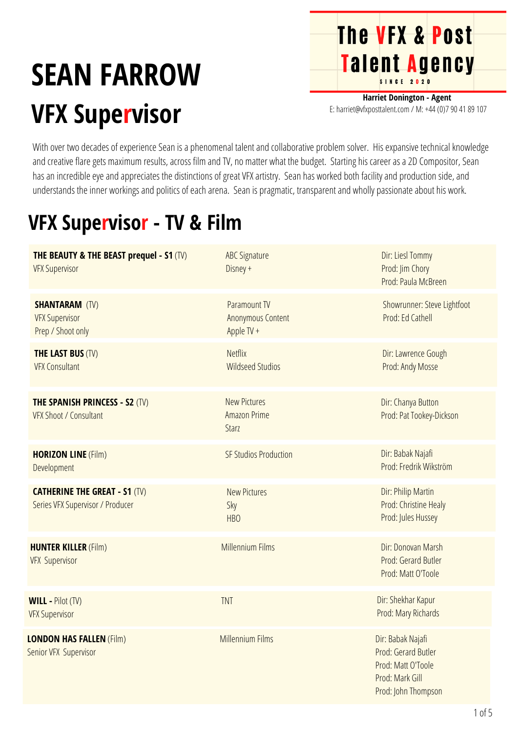## **SEAN FARROW VFX Supervisor**

**Harriet Donington - Agent** E: harriet@vfxposttalent.com / M:+44(0)7904189107

**The VFX & Post** 

Talent Agency

With over two decades of experience Sean is a phenomenal talent and collaborative problem solver. His expansive technical knowledge and creative flare gets maximum results, across film and TV, no matter what the budget. Starting his career as a 2D Compositor, Sean has an incredible eye and appreciates the distinctions of great VFX artistry. Sean has worked both facility and production side, and understands the inner workings and politics of each arena. Sean is pragmatic, transparent and wholly passionate about his work.

## **VFX Supervisor - TV & Film**

| <b>THE BEAUTY &amp; THE BEAST prequel - S1 (TV)</b><br><b>VFX Supervisor</b> | <b>ABC Signature</b><br>Disney +                       | Dir: Liesl Tommy<br>Prod: Jim Chory<br>Prod: Paula McBreen                                               |
|------------------------------------------------------------------------------|--------------------------------------------------------|----------------------------------------------------------------------------------------------------------|
| <b>SHANTARAM (TV)</b><br><b>VFX Supervisor</b><br>Prep / Shoot only          | Paramount TV<br><b>Anonymous Content</b><br>Apple TV + | Showrunner: Steve Lightfoot<br>Prod: Ed Cathell                                                          |
| <b>THE LAST BUS (TV)</b><br><b>VFX Consultant</b>                            | <b>Netflix</b><br><b>Wildseed Studios</b>              | Dir: Lawrence Gough<br>Prod: Andy Mosse                                                                  |
| <b>THE SPANISH PRINCESS - S2 (TV)</b><br><b>VFX Shoot / Consultant</b>       | <b>New Pictures</b><br><b>Amazon Prime</b><br>Starz    | Dir: Chanya Button<br>Prod: Pat Tookey-Dickson                                                           |
| <b>HORIZON LINE (Film)</b><br>Development                                    | <b>SF Studios Production</b>                           | Dir: Babak Najafi<br>Prod: Fredrik Wikström                                                              |
| <b>CATHERINE THE GREAT - S1 (TV)</b><br>Series VFX Supervisor / Producer     | <b>New Pictures</b><br>Sky<br>HB <sub>O</sub>          | Dir: Philip Martin<br>Prod: Christine Healy<br>Prod: Jules Hussey                                        |
| <b>HUNTER KILLER (Film)</b><br><b>VFX Supervisor</b>                         | Millennium Films                                       | Dir: Donovan Marsh<br>Prod: Gerard Butler<br>Prod: Matt O'Toole                                          |
| <b>WILL - Pilot (TV)</b><br><b>VFX Supervisor</b>                            | <b>TNT</b>                                             | Dir: Shekhar Kapur<br>Prod: Mary Richards                                                                |
| <b>LONDON HAS FALLEN (Film)</b><br>Senior VFX Supervisor                     | <b>Millennium Films</b>                                | Dir: Babak Najafi<br>Prod: Gerard Butler<br>Prod: Matt O'Toole<br>Prod: Mark Gill<br>Prod: John Thompson |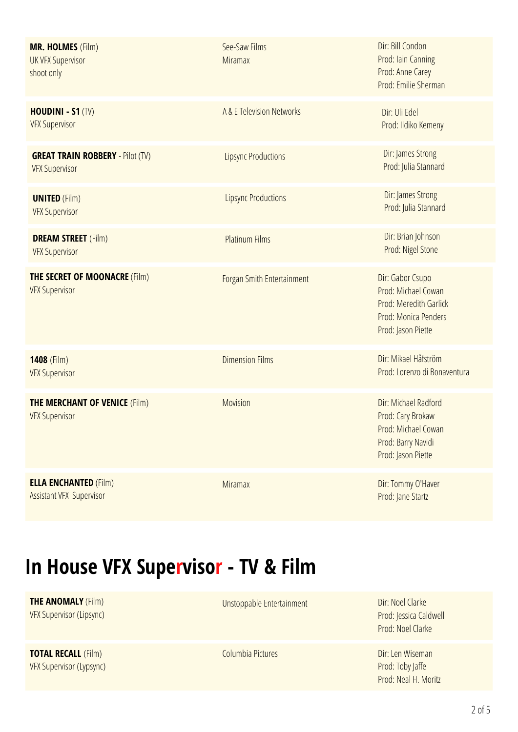| <b>MR. HOLMES (Film)</b><br><b>UK VFX Supervisor</b><br>shoot only | See-Saw Films<br><b>Miramax</b> | Dir: Bill Condon<br>Prod: Iain Canning<br>Prod: Anne Carey<br>Prod: Emilie Sherman                              |
|--------------------------------------------------------------------|---------------------------------|-----------------------------------------------------------------------------------------------------------------|
| <b>HOUDINI - S1 (TV)</b><br><b>VFX Supervisor</b>                  | A & E Television Networks       | Dir: Uli Edel<br>Prod: Ildiko Kemeny                                                                            |
| <b>GREAT TRAIN ROBBERY - Pilot (TV)</b><br><b>VFX Supervisor</b>   | <b>Lipsync Productions</b>      | Dir: James Strong<br>Prod: Julia Stannard                                                                       |
| <b>UNITED (Film)</b><br><b>VFX Supervisor</b>                      | <b>Lipsync Productions</b>      | Dir: James Strong<br>Prod: Julia Stannard                                                                       |
| <b>DREAM STREET</b> (Film)<br><b>VFX Supervisor</b>                | <b>Platinum Films</b>           | Dir: Brian Johnson<br>Prod: Nigel Stone                                                                         |
| <b>THE SECRET OF MOONACRE (Film)</b><br><b>VFX Supervisor</b>      | Forgan Smith Entertainment      | Dir: Gabor Csupo<br>Prod: Michael Cowan<br>Prod: Meredith Garlick<br>Prod: Monica Penders<br>Prod: Jason Piette |
| 1408 (Film)<br><b>VFX Supervisor</b>                               | <b>Dimension Films</b>          | Dir: Mikael Håfström<br>Prod: Lorenzo di Bonaventura                                                            |
| <b>THE MERCHANT OF VENICE (Film)</b><br><b>VFX Supervisor</b>      | Movision                        | Dir: Michael Radford<br>Prod: Cary Brokaw<br>Prod: Michael Cowan<br>Prod: Barry Navidi<br>Prod: Jason Piette    |
| <b>ELLA ENCHANTED (Film)</b><br>Assistant VFX Supervisor           | <b>Miramax</b>                  | Dir: Tommy O'Haver<br>Prod: Jane Startz                                                                         |

## **In House VFX Supervisor - TV & Film**

**THE ANOMALY** (Film) VFX Supervisor (Lipsync)

**TOTAL RECALL** (Film) VFX Supervisor (Lypsync) Unstoppable Entertainment Dir: Noel Clarke

Prod: Jessica Caldwell Prod: Noel Clarke

Columbia Pictures **Dir:** Len Wiseman Prod: Toby Jaffe Prod: Neal H. Moritz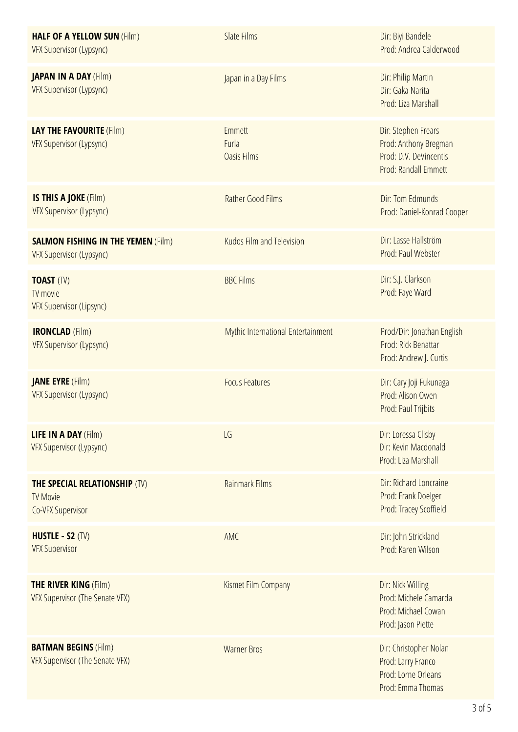| <b>HALF OF A YELLOW SUN (Film)</b><br><b>VFX Supervisor (Lypsync)</b>               | <b>Slate Films</b>                           | Dir: Biyi Bandele<br>Prod: Andrea Calderwood                                                   |
|-------------------------------------------------------------------------------------|----------------------------------------------|------------------------------------------------------------------------------------------------|
| <b>JAPAN IN A DAY (Film)</b><br><b>VFX Supervisor (Lypsync)</b>                     | Japan in a Day Films                         | Dir: Philip Martin<br>Dir: Gaka Narita<br>Prod: Liza Marshall                                  |
| <b>LAY THE FAVOURITE (Film)</b><br><b>VFX Supervisor (Lypsync)</b>                  | <b>Emmett</b><br>Furla<br><b>Oasis Films</b> | Dir: Stephen Frears<br>Prod: Anthony Bregman<br>Prod: D.V. DeVincentis<br>Prod: Randall Emmett |
| IS THIS A JOKE (Film)<br><b>VFX Supervisor (Lypsync)</b>                            | <b>Rather Good Films</b>                     | Dir: Tom Edmunds<br>Prod: Daniel-Konrad Cooper                                                 |
| <b>SALMON FISHING IN THE YEMEN (Film)</b><br><b>VFX Supervisor (Lypsync)</b>        | Kudos Film and Television                    | Dir: Lasse Hallström<br>Prod: Paul Webster                                                     |
| <b>TOAST (TV)</b><br>TV movie<br><b>VFX Supervisor (Lipsync)</b>                    | <b>BBC Films</b>                             | Dir: S.J. Clarkson<br>Prod: Faye Ward                                                          |
| <b>IRONCLAD</b> (Film)<br>VFX Supervisor (Lypsync)                                  | Mythic International Entertainment           | Prod/Dir: Jonathan English<br>Prod: Rick Benattar<br>Prod: Andrew J. Curtis                    |
| <b>JANE EYRE</b> (Film)<br><b>VFX Supervisor (Lypsync)</b>                          | <b>Focus Features</b>                        | Dir: Cary Joji Fukunaga<br>Prod: Alison Owen<br>Prod: Paul Trijbits                            |
| <b>LIFE IN A DAY (Film)</b><br><b>VFX Supervisor (Lypsync)</b>                      | LG                                           | Dir: Loressa Clisby<br>Dir: Kevin Macdonald<br>Prod: Liza Marshall                             |
| <b>THE SPECIAL RELATIONSHIP (TV)</b><br><b>TV Movie</b><br><b>Co-VFX Supervisor</b> | <b>Rainmark Films</b>                        | Dir: Richard Loncraine<br>Prod: Frank Doelger<br><b>Prod: Tracey Scoffield</b>                 |
| <b>HUSTLE - S2 (TV)</b><br><b>VFX Supervisor</b>                                    | AMC                                          | Dir: John Strickland<br>Prod: Karen Wilson                                                     |
| <b>THE RIVER KING (Film)</b><br>VFX Supervisor (The Senate VFX)                     | Kismet Film Company                          | Dir: Nick Willing<br>Prod: Michele Camarda<br>Prod: Michael Cowan<br>Prod: Jason Piette        |
| <b>BATMAN BEGINS (Film)</b><br>VFX Supervisor (The Senate VFX)                      | <b>Warner Bros</b>                           | Dir: Christopher Nolan<br>Prod: Larry Franco<br>Prod: Lorne Orleans<br>Prod: Emma Thomas       |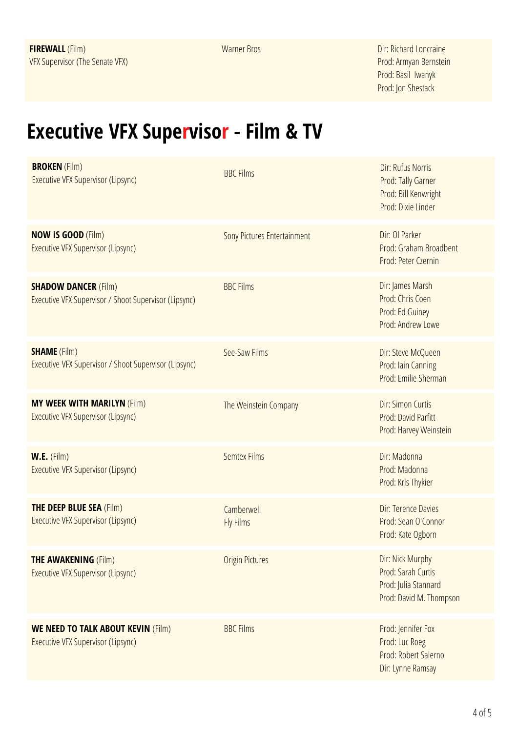Warner Bros **Dir: Richard Loncraine** Prod:Armyan Bernstein Prod: Basil Iwanyk Prod: Jon Shestack

## **Executive VFX Supervisor - Film & TV**

| <b>BROKEN</b> (Film)<br>Executive VFX Supervisor (Lipsync)                           | <b>BBC Films</b>                   | Dir: Rufus Norris<br>Prod: Tally Garner<br>Prod: Bill Kenwright<br>Prod: Dixie Linder     |
|--------------------------------------------------------------------------------------|------------------------------------|-------------------------------------------------------------------------------------------|
| <b>NOW IS GOOD (Film)</b><br>Executive VFX Supervisor (Lipsync)                      | <b>Sony Pictures Entertainment</b> | Dir: Ol Parker<br>Prod: Graham Broadbent<br>Prod: Peter Czernin                           |
| <b>SHADOW DANCER (Film)</b><br>Executive VFX Supervisor / Shoot Supervisor (Lipsync) | <b>BBC Films</b>                   | Dir: James Marsh<br>Prod: Chris Coen<br>Prod: Ed Guiney<br>Prod: Andrew Lowe              |
| <b>SHAME</b> (Film)<br>Executive VFX Supervisor / Shoot Supervisor (Lipsync)         | See-Saw Films                      | Dir: Steve McQueen<br>Prod: Iain Canning<br>Prod: Emilie Sherman                          |
| <b>MY WEEK WITH MARILYN (Film)</b><br>Executive VFX Supervisor (Lipsync)             | The Weinstein Company              | Dir: Simon Curtis<br>Prod: David Parfitt<br>Prod: Harvey Weinstein                        |
| W.E. (Film)<br>Executive VFX Supervisor (Lipsync)                                    | <b>Semtex Films</b>                | Dir: Madonna<br>Prod: Madonna<br>Prod: Kris Thykier                                       |
| <b>THE DEEP BLUE SEA (Film)</b><br><b>Executive VFX Supervisor (Lipsync)</b>         | Camberwell<br><b>Fly Films</b>     | Dir: Terence Davies<br>Prod: Sean O'Connor<br>Prod: Kate Ogborn                           |
| <b>THE AWAKENING (Film)</b><br>Executive VFX Supervisor (Lipsync)                    | <b>Origin Pictures</b>             | Dir: Nick Murphy<br>Prod: Sarah Curtis<br>Prod: Julia Stannard<br>Prod: David M. Thompson |
| <b>WE NEED TO TALK ABOUT KEVIN (Film)</b><br>Executive VFX Supervisor (Lipsync)      | <b>BBC Films</b>                   | Prod: Jennifer Fox<br>Prod: Luc Roeg<br>Prod: Robert Salerno<br>Dir: Lynne Ramsay         |